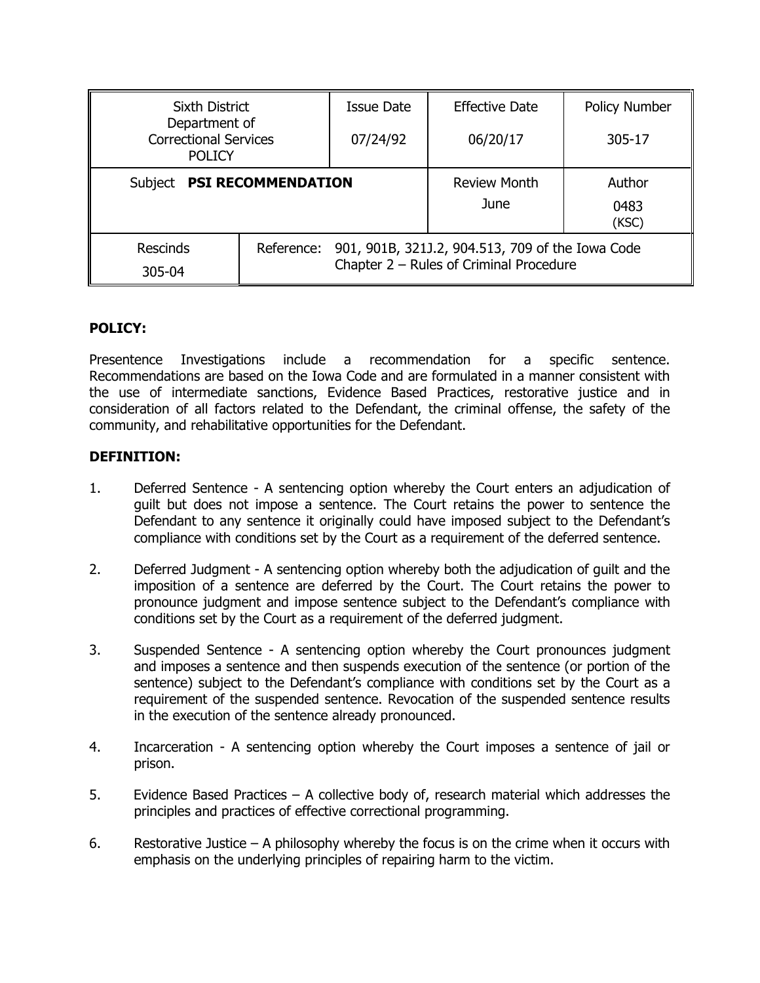| <b>Sixth District</b>                                          |                                                                                                           | Issue Date | <b>Effective Date</b> | <b>Policy Number</b> |
|----------------------------------------------------------------|-----------------------------------------------------------------------------------------------------------|------------|-----------------------|----------------------|
| Department of<br><b>Correctional Services</b><br><b>POLICY</b> |                                                                                                           | 07/24/92   | 06/20/17              | 305-17               |
| <b>PSI RECOMMENDATION</b><br>Subject                           |                                                                                                           |            | <b>Review Month</b>   | Author               |
|                                                                |                                                                                                           |            | June                  | 0483<br>(KSC)        |
| <b>Rescinds</b>                                                | 901, 901B, 321J.2, 904.513, 709 of the Iowa Code<br>Reference:<br>Chapter 2 - Rules of Criminal Procedure |            |                       |                      |
| 305-04                                                         |                                                                                                           |            |                       |                      |

# **POLICY:**

Presentence Investigations include a recommendation for a specific sentence. Recommendations are based on the Iowa Code and are formulated in a manner consistent with the use of intermediate sanctions, Evidence Based Practices, restorative justice and in consideration of all factors related to the Defendant, the criminal offense, the safety of the community, and rehabilitative opportunities for the Defendant.

#### **DEFINITION:**

- 1. Deferred Sentence A sentencing option whereby the Court enters an adjudication of guilt but does not impose a sentence. The Court retains the power to sentence the Defendant to any sentence it originally could have imposed subject to the Defendant's compliance with conditions set by the Court as a requirement of the deferred sentence.
- 2. Deferred Judgment A sentencing option whereby both the adjudication of guilt and the imposition of a sentence are deferred by the Court. The Court retains the power to pronounce judgment and impose sentence subject to the Defendant's compliance with conditions set by the Court as a requirement of the deferred judgment.
- 3. Suspended Sentence A sentencing option whereby the Court pronounces judgment and imposes a sentence and then suspends execution of the sentence (or portion of the sentence) subject to the Defendant's compliance with conditions set by the Court as a requirement of the suspended sentence. Revocation of the suspended sentence results in the execution of the sentence already pronounced.
- 4. Incarceration A sentencing option whereby the Court imposes a sentence of jail or prison.
- 5. Evidence Based Practices A collective body of, research material which addresses the principles and practices of effective correctional programming.
- 6. Restorative Justice A philosophy whereby the focus is on the crime when it occurs with emphasis on the underlying principles of repairing harm to the victim.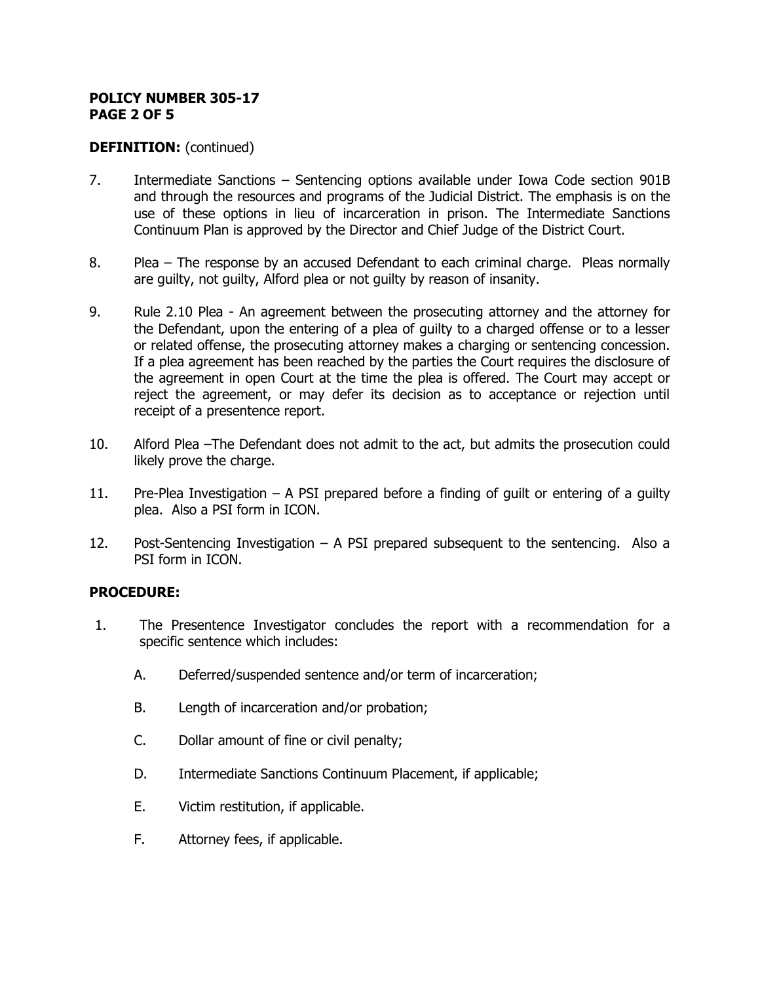#### **POLICY NUMBER 305-17 PAGE 2 OF 5**

## **DEFINITION:** (continued)

- 7. Intermediate Sanctions Sentencing options available under Iowa Code section 901B and through the resources and programs of the Judicial District. The emphasis is on the use of these options in lieu of incarceration in prison. The Intermediate Sanctions Continuum Plan is approved by the Director and Chief Judge of the District Court.
- 8. Plea The response by an accused Defendant to each criminal charge. Pleas normally are guilty, not guilty, Alford plea or not guilty by reason of insanity.
- 9. Rule 2.10 Plea An agreement between the prosecuting attorney and the attorney for the Defendant, upon the entering of a plea of guilty to a charged offense or to a lesser or related offense, the prosecuting attorney makes a charging or sentencing concession. If a plea agreement has been reached by the parties the Court requires the disclosure of the agreement in open Court at the time the plea is offered. The Court may accept or reject the agreement, or may defer its decision as to acceptance or rejection until receipt of a presentence report.
- 10. Alford Plea –The Defendant does not admit to the act, but admits the prosecution could likely prove the charge.
- 11. Pre-Plea Investigation  $-$  A PSI prepared before a finding of quilt or entering of a quilty plea. Also a PSI form in ICON.
- 12. Post-Sentencing Investigation A PSI prepared subsequent to the sentencing. Also a PSI form in ICON.

#### **PROCEDURE:**

- 1. The Presentence Investigator concludes the report with a recommendation for a specific sentence which includes:
	- A. Deferred/suspended sentence and/or term of incarceration;
	- B. Length of incarceration and/or probation;
	- C. Dollar amount of fine or civil penalty;
	- D. Intermediate Sanctions Continuum Placement, if applicable;
	- E. Victim restitution, if applicable.
	- F. Attorney fees, if applicable.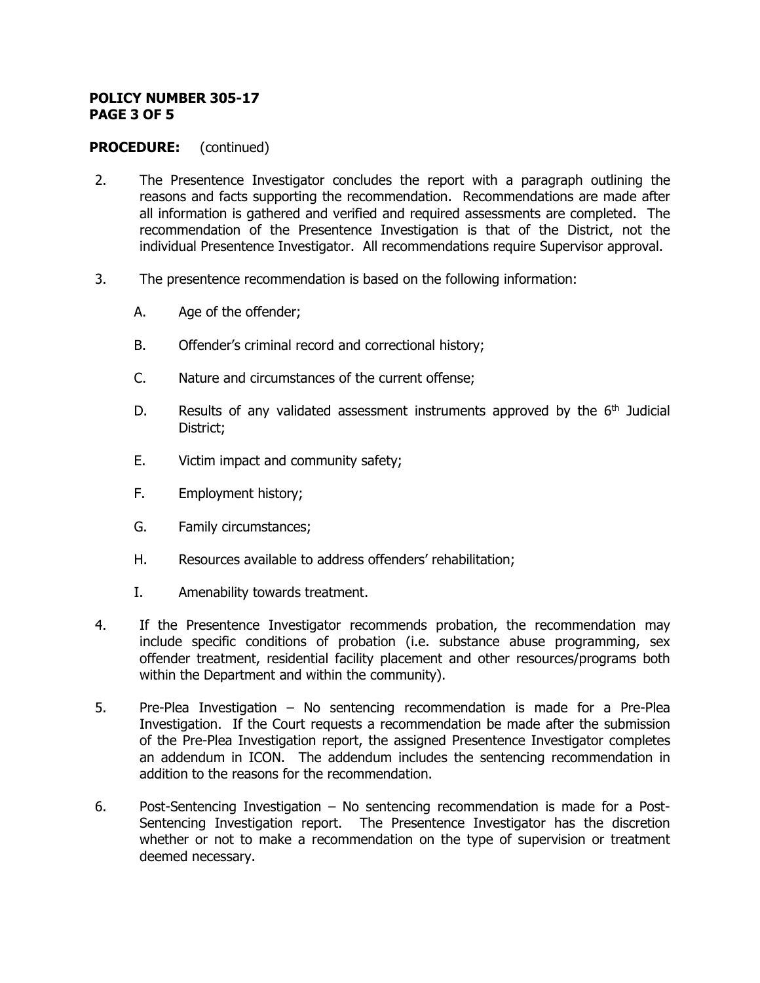#### **POLICY NUMBER 305-17 PAGE 3 OF 5**

### **PROCEDURE:** (continued)

- 2. The Presentence Investigator concludes the report with a paragraph outlining the reasons and facts supporting the recommendation. Recommendations are made after all information is gathered and verified and required assessments are completed. The recommendation of the Presentence Investigation is that of the District, not the individual Presentence Investigator. All recommendations require Supervisor approval.
- 3. The presentence recommendation is based on the following information:
	- A. Age of the offender;
	- B. Offender's criminal record and correctional history;
	- C. Nature and circumstances of the current offense;
	- D. Results of any validated assessment instruments approved by the  $6<sup>th</sup>$  Judicial District;
	- E. Victim impact and community safety;
	- F. Employment history;
	- G. Family circumstances;
	- H. Resources available to address offenders' rehabilitation;
	- I. Amenability towards treatment.
- 4. If the Presentence Investigator recommends probation, the recommendation may include specific conditions of probation (i.e. substance abuse programming, sex offender treatment, residential facility placement and other resources/programs both within the Department and within the community).
- 5. Pre-Plea Investigation No sentencing recommendation is made for a Pre-Plea Investigation. If the Court requests a recommendation be made after the submission of the Pre-Plea Investigation report, the assigned Presentence Investigator completes an addendum in ICON. The addendum includes the sentencing recommendation in addition to the reasons for the recommendation.
- 6. Post-Sentencing Investigation No sentencing recommendation is made for a Post-Sentencing Investigation report. The Presentence Investigator has the discretion whether or not to make a recommendation on the type of supervision or treatment deemed necessary.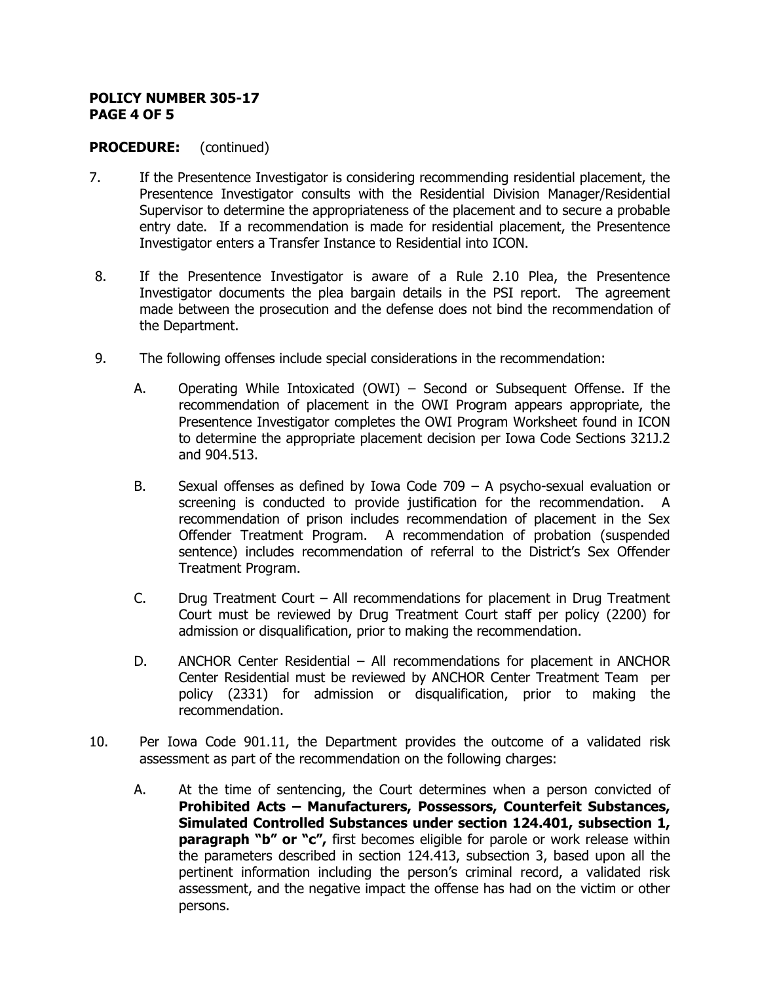#### **POLICY NUMBER 305-17 PAGE 4 OF 5**

### **PROCEDURE:** (continued)

- 7. If the Presentence Investigator is considering recommending residential placement, the Presentence Investigator consults with the Residential Division Manager/Residential Supervisor to determine the appropriateness of the placement and to secure a probable entry date. If a recommendation is made for residential placement, the Presentence Investigator enters a Transfer Instance to Residential into ICON.
- 8. If the Presentence Investigator is aware of a Rule 2.10 Plea, the Presentence Investigator documents the plea bargain details in the PSI report. The agreement made between the prosecution and the defense does not bind the recommendation of the Department.
- 9. The following offenses include special considerations in the recommendation:
	- A. Operating While Intoxicated (OWI) Second or Subsequent Offense. If the recommendation of placement in the OWI Program appears appropriate, the Presentence Investigator completes the OWI Program Worksheet found in ICON to determine the appropriate placement decision per Iowa Code Sections 321J.2 and 904.513.
	- B. Sexual offenses as defined by Iowa Code 709 A psycho-sexual evaluation or screening is conducted to provide justification for the recommendation. A recommendation of prison includes recommendation of placement in the Sex Offender Treatment Program. A recommendation of probation (suspended sentence) includes recommendation of referral to the District's Sex Offender Treatment Program.
	- C. Drug Treatment Court All recommendations for placement in Drug Treatment Court must be reviewed by Drug Treatment Court staff per policy (2200) for admission or disqualification, prior to making the recommendation.
	- D. ANCHOR Center Residential All recommendations for placement in ANCHOR Center Residential must be reviewed by ANCHOR Center Treatment Team per policy (2331) for admission or disqualification, prior to making the recommendation.
- 10. Per Iowa Code 901.11, the Department provides the outcome of a validated risk assessment as part of the recommendation on the following charges:
	- A. At the time of sentencing, the Court determines when a person convicted of **Prohibited Acts – Manufacturers, Possessors, Counterfeit Substances, Simulated Controlled Substances under section 124.401, subsection 1, paragraph "b" or "c",** first becomes eligible for parole or work release within the parameters described in section 124.413, subsection 3, based upon all the pertinent information including the person's criminal record, a validated risk assessment, and the negative impact the offense has had on the victim or other persons.